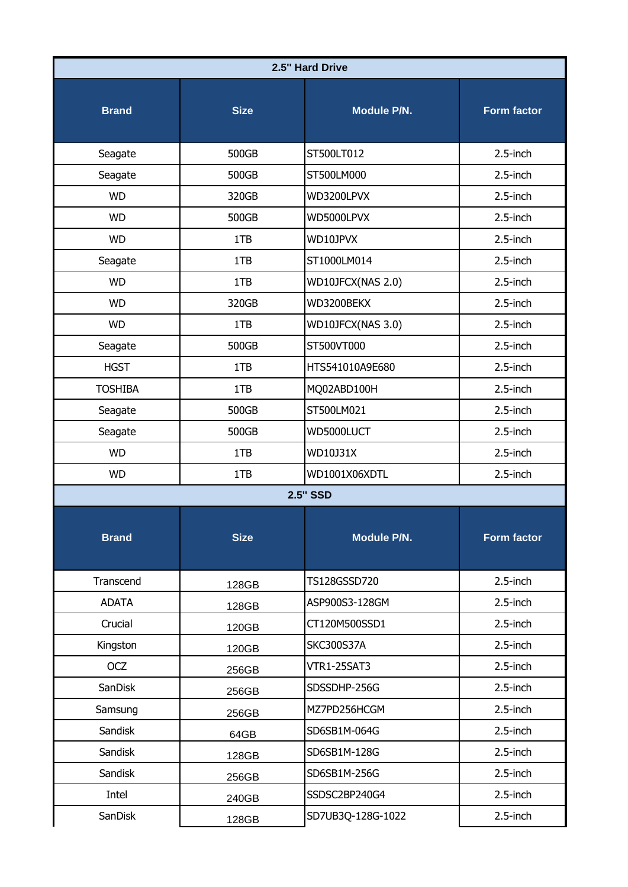| 2.5" Hard Drive |                 |                    |                    |  |  |
|-----------------|-----------------|--------------------|--------------------|--|--|
| <b>Brand</b>    | <b>Size</b>     | <b>Module P/N.</b> | <b>Form factor</b> |  |  |
| Seagate         | 500GB           | ST500LT012         | 2.5-inch           |  |  |
| Seagate         | 500GB           | ST500LM000         | $2.5$ -inch        |  |  |
| <b>WD</b>       | 320GB           | WD3200LPVX         | $2.5$ -inch        |  |  |
| <b>WD</b>       | 500GB           | WD5000LPVX         | 2.5-inch           |  |  |
| <b>WD</b>       | 1TB             | WD10JPVX           | $2.5$ -inch        |  |  |
| Seagate         | 1TB             | ST1000LM014        | 2.5-inch           |  |  |
| <b>WD</b>       | 1TB             | WD10JFCX(NAS 2.0)  | $2.5$ -inch        |  |  |
| <b>WD</b>       | 320GB           | WD3200BEKX         | 2.5-inch           |  |  |
| <b>WD</b>       | 1TB             | WD10JFCX(NAS 3.0)  | $2.5$ -inch        |  |  |
| Seagate         | 500GB           | ST500VT000         | $2.5$ -inch        |  |  |
| <b>HGST</b>     | 1TB             | HTS541010A9E680    | 2.5-inch           |  |  |
| <b>TOSHIBA</b>  | 1TB             | MQ02ABD100H        | $2.5$ -inch        |  |  |
| Seagate         | 500GB           | ST500LM021         | $2.5$ -inch        |  |  |
| Seagate         | 500GB           | WD5000LUCT         | 2.5-inch           |  |  |
| <b>WD</b>       | 1TB             | WD10J31X           | $2.5$ -inch        |  |  |
| <b>WD</b>       | 1TB             | WD1001X06XDTL      | $2.5$ -inch        |  |  |
|                 | <b>2.5" SSD</b> |                    |                    |  |  |
| <b>Brand</b>    | <b>Size</b>     | Module P/N.        | <b>Form factor</b> |  |  |
| Transcend       | 128GB           | TS128GSSD720       | 2.5-inch           |  |  |
| <b>ADATA</b>    | 128GB           | ASP900S3-128GM     | $2.5$ -inch        |  |  |
| Crucial         | 120GB           | CT120M500SSD1      | $2.5$ -inch        |  |  |
| Kingston        | 120GB           | <b>SKC300S37A</b>  | $2.5$ -inch        |  |  |
| <b>OCZ</b>      | 256GB           | VTR1-25SAT3        | $2.5$ -inch        |  |  |
| SanDisk         | 256GB           | SDSSDHP-256G       | $2.5$ -inch        |  |  |
| Samsung         | 256GB           | MZ7PD256HCGM       | $2.5$ -inch        |  |  |
| Sandisk         | 64GB            | SD6SB1M-064G       | $2.5$ -inch        |  |  |
| Sandisk         | 128GB           | SD6SB1M-128G       | $2.5$ -inch        |  |  |
| Sandisk         | 256GB           | SD6SB1M-256G       | $2.5$ -inch        |  |  |
| Intel           | 240GB           | SSDSC2BP240G4      | $2.5$ -inch        |  |  |
| SanDisk         | 128GB           | SD7UB3Q-128G-1022  | $2.5$ -inch        |  |  |